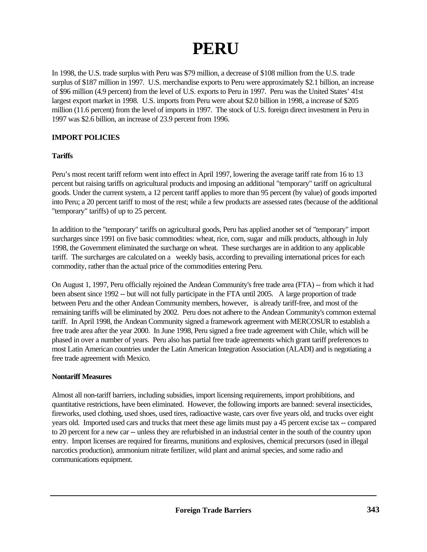# **PERU**

In 1998, the U.S. trade surplus with Peru was \$79 million, a decrease of \$108 million from the U.S. trade surplus of \$187 million in 1997. U.S. merchandise exports to Peru were approximately \$2.1 billion, an increase of \$96 million (4.9 percent) from the level of U.S. exports to Peru in 1997. Peru was the United States' 41st largest export market in 1998. U.S. imports from Peru were about \$2.0 billion in 1998, a increase of \$205 million (11.6 percent) from the level of imports in 1997. The stock of U.S. foreign direct investment in Peru in 1997 was \$2.6 billion, an increase of 23.9 percent from 1996.

## **IMPORT POLICIES**

#### **Tariffs**

Peru's most recent tariff reform went into effect in April 1997, lowering the average tariff rate from 16 to 13 percent but raising tariffs on agricultural products and imposing an additional "temporary" tariff on agricultural goods. Under the current system, a 12 percent tariff applies to more than 95 percent (by value) of goods imported into Peru; a 20 percent tariff to most of the rest; while a few products are assessed rates (because of the additional "temporary" tariffs) of up to 25 percent.

In addition to the "temporary" tariffs on agricultural goods, Peru has applied another set of "temporary" import surcharges since 1991 on five basic commodities: wheat, rice, corn, sugar and milk products, although in July 1998, the Government eliminated the surcharge on wheat. These surcharges are in addition to any applicable tariff. The surcharges are calculated on a weekly basis, according to prevailing international prices for each commodity, rather than the actual price of the commodities entering Peru.

On August 1, 1997, Peru officially rejoined the Andean Community's free trade area (FTA) -- from which it had been absent since 1992 -- but will not fully participate in the FTA until 2005. A large proportion of trade between Peru and the other Andean Community members, however, is already tariff-free, and most of the remaining tariffs will be eliminated by 2002. Peru does not adhere to the Andean Community's common external tariff. In April 1998, the Andean Community signed a framework agreement with MERCOSUR to establish a free trade area after the year 2000. In June 1998, Peru signed a free trade agreement with Chile, which will be phased in over a number of years. Peru also has partial free trade agreements which grant tariff preferences to most Latin American countries under the Latin American Integration Association (ALADI) and is negotiating a free trade agreement with Mexico.

#### **Nontariff Measures**

Almost all non-tariff barriers, including subsidies, import licensing requirements, import prohibitions, and quantitative restrictions, have been eliminated. However, the following imports are banned: several insecticides, fireworks, used clothing, used shoes, used tires, radioactive waste, cars over five years old, and trucks over eight years old. Imported used cars and trucks that meet these age limits must pay a 45 percent excise tax -- compared to 20 percent for a new car -- unless they are refurbished in an industrial center in the south of the country upon entry. Import licenses are required for firearms, munitions and explosives, chemical precursors (used in illegal narcotics production), ammonium nitrate fertilizer, wild plant and animal species, and some radio and communications equipment.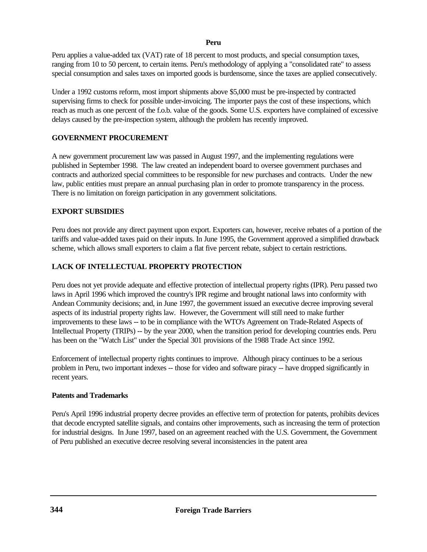#### **Peru**

Peru applies a value-added tax (VAT) rate of 18 percent to most products, and special consumption taxes, ranging from 10 to 50 percent, to certain items. Peru's methodology of applying a "consolidated rate" to assess special consumption and sales taxes on imported goods is burdensome, since the taxes are applied consecutively.

Under a 1992 customs reform, most import shipments above \$5,000 must be pre-inspected by contracted supervising firms to check for possible under-invoicing. The importer pays the cost of these inspections, which reach as much as one percent of the f.o.b. value of the goods. Some U.S. exporters have complained of excessive delays caused by the pre-inspection system, although the problem has recently improved.

## **GOVERNMENT PROCUREMENT**

A new government procurement law was passed in August 1997, and the implementing regulations were published in September 1998. The law created an independent board to oversee government purchases and contracts and authorized special committees to be responsible for new purchases and contracts. Under the new law, public entities must prepare an annual purchasing plan in order to promote transparency in the process. There is no limitation on foreign participation in any government solicitations.

#### **EXPORT SUBSIDIES**

Peru does not provide any direct payment upon export. Exporters can, however, receive rebates of a portion of the tariffs and value-added taxes paid on their inputs. In June 1995, the Government approved a simplified drawback scheme, which allows small exporters to claim a flat five percent rebate, subject to certain restrictions.

# **LACK OF INTELLECTUAL PROPERTY PROTECTION**

Peru does not yet provide adequate and effective protection of intellectual property rights (IPR). Peru passed two laws in April 1996 which improved the country's IPR regime and brought national laws into conformity with Andean Community decisions; and, in June 1997, the government issued an executive decree improving several aspects of its industrial property rights law. However, the Government will still need to make further improvements to these laws -- to be in compliance with the WTO's Agreement on Trade-Related Aspects of Intellectual Property (TRIPs) -- by the year 2000, when the transition period for developing countries ends. Peru has been on the "Watch List" under the Special 301 provisions of the 1988 Trade Act since 1992.

Enforcement of intellectual property rights continues to improve. Although piracy continues to be a serious problem in Peru, two important indexes -- those for video and software piracy -- have dropped significantly in recent years.

#### **Patents and Trademarks**

Peru's April 1996 industrial property decree provides an effective term of protection for patents, prohibits devices that decode encrypted satellite signals, and contains other improvements, such as increasing the term of protection for industrial designs. In June 1997, based on an agreement reached with the U.S. Government, the Government of Peru published an executive decree resolving several inconsistencies in the patent area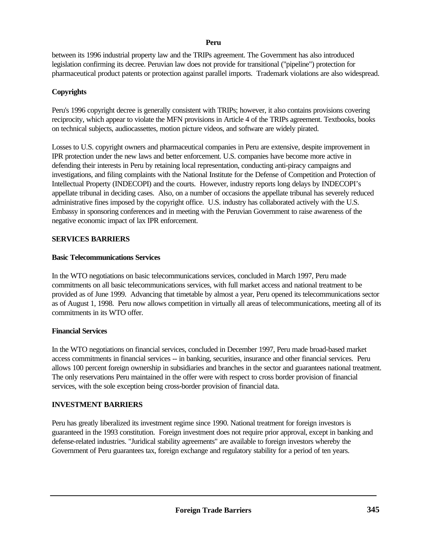#### **Peru**

between its 1996 industrial property law and the TRIPs agreement. The Government has also introduced legislation confirming its decree. Peruvian law does not provide for transitional ("pipeline") protection for pharmaceutical product patents or protection against parallel imports. Trademark violations are also widespread.

# **Copyrights**

Peru's 1996 copyright decree is generally consistent with TRIPs; however, it also contains provisions covering reciprocity, which appear to violate the MFN provisions in Article 4 of the TRIPs agreement. Textbooks, books on technical subjects, audiocassettes, motion picture videos, and software are widely pirated.

Losses to U.S. copyright owners and pharmaceutical companies in Peru are extensive, despite improvement in IPR protection under the new laws and better enforcement. U.S. companies have become more active in defending their interests in Peru by retaining local representation, conducting anti-piracy campaigns and investigations, and filing complaints with the National Institute for the Defense of Competition and Protection of Intellectual Property (INDECOPI) and the courts. However, industry reports long delays by INDECOPI's appellate tribunal in deciding cases. Also, on a number of occasions the appellate tribunal has severely reduced administrative fines imposed by the copyright office. U.S. industry has collaborated actively with the U.S. Embassy in sponsoring conferences and in meeting with the Peruvian Government to raise awareness of the negative economic impact of lax IPR enforcement.

## **SERVICES BARRIERS**

## **Basic Telecommunications Services**

In the WTO negotiations on basic telecommunications services, concluded in March 1997, Peru made commitments on all basic telecommunications services, with full market access and national treatment to be provided as of June 1999. Advancing that timetable by almost a year, Peru opened its telecommunications sector as of August 1, 1998. Peru now allows competition in virtually all areas of telecommunications, meeting all of its commitments in its WTO offer.

# **Financial Services**

In the WTO negotiations on financial services, concluded in December 1997, Peru made broad-based market access commitments in financial services -- in banking, securities, insurance and other financial services. Peru allows 100 percent foreign ownership in subsidiaries and branches in the sector and guarantees national treatment. The only reservations Peru maintained in the offer were with respect to cross border provision of financial services, with the sole exception being cross-border provision of financial data.

# **INVESTMENT BARRIERS**

Peru has greatly liberalized its investment regime since 1990. National treatment for foreign investors is guaranteed in the 1993 constitution. Foreign investment does not require prior approval, except in banking and defense-related industries. "Juridical stability agreements" are available to foreign investors whereby the Government of Peru guarantees tax, foreign exchange and regulatory stability for a period of ten years.